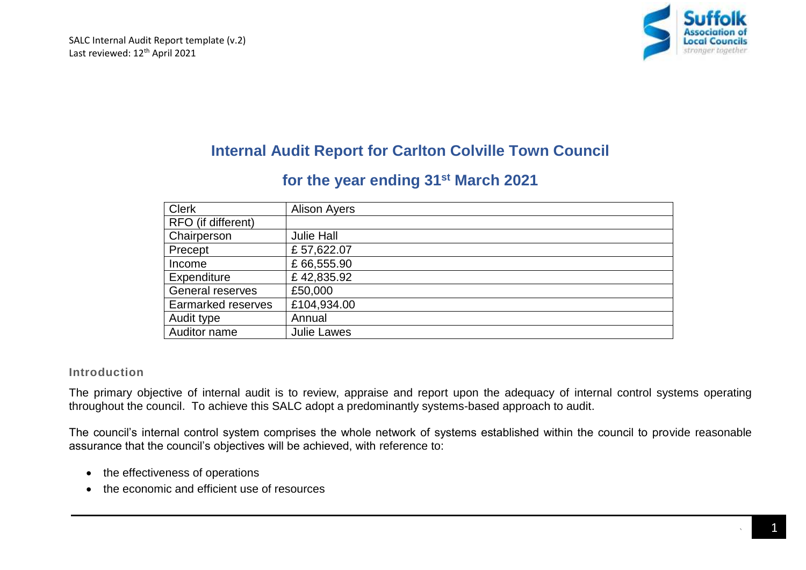

# **Internal Audit Report for Carlton Colville Town Council**

## **for the year ending 31st March 2021**

| <b>Clerk</b>              | <b>Alison Ayers</b> |
|---------------------------|---------------------|
| RFO (if different)        |                     |
| Chairperson               | <b>Julie Hall</b>   |
| Precept                   | £57,622.07          |
| Income                    | £66,555.90          |
| Expenditure               | £42,835.92          |
| General reserves          | £50,000             |
| <b>Earmarked reserves</b> | £104,934.00         |
| Audit type                | Annual              |
| Auditor name              | <b>Julie Lawes</b>  |

## **Introduction**

The primary objective of internal audit is to review, appraise and report upon the adequacy of internal control systems operating throughout the council. To achieve this SALC adopt a predominantly systems-based approach to audit.

The council's internal control system comprises the whole network of systems established within the council to provide reasonable assurance that the council's objectives will be achieved, with reference to:

- the effectiveness of operations
- the economic and efficient use of resources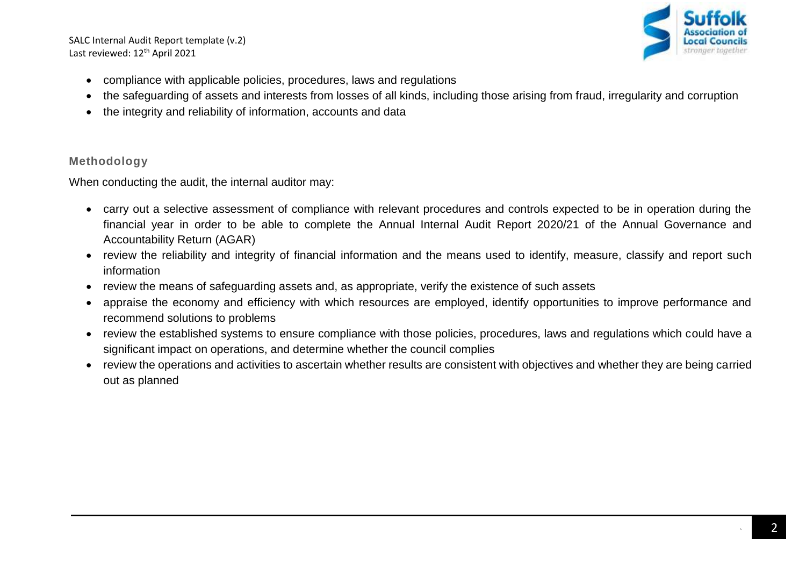SALC Internal Audit Report template (v.2) Last reviewed: 12<sup>th</sup> April 2021



- compliance with applicable policies, procedures, laws and regulations
- the safeguarding of assets and interests from losses of all kinds, including those arising from fraud, irregularity and corruption
- the integrity and reliability of information, accounts and data

## **Methodology**

When conducting the audit, the internal auditor may:

- carry out a selective assessment of compliance with relevant procedures and controls expected to be in operation during the financial year in order to be able to complete the Annual Internal Audit Report 2020/21 of the Annual Governance and Accountability Return (AGAR)
- review the reliability and integrity of financial information and the means used to identify, measure, classify and report such information
- review the means of safeguarding assets and, as appropriate, verify the existence of such assets
- appraise the economy and efficiency with which resources are employed, identify opportunities to improye performance and recommend solutions to problems
- review the established systems to ensure compliance with those policies, procedures, laws and regulations which could have a significant impact on operations, and determine whether the council complies
- review the operations and activities to ascertain whether results are consistent with objectives and whether they are being carried out as planned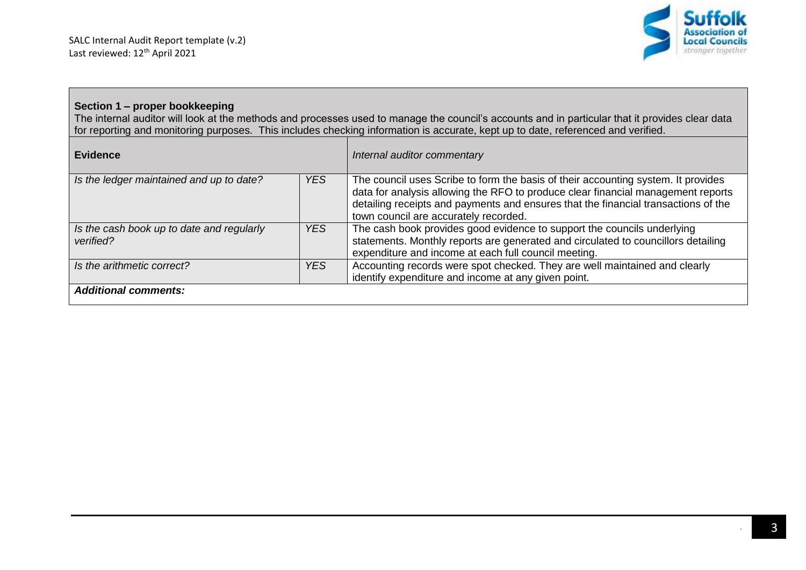

## **Section 1 – proper bookkeeping**

The internal auditor will look at the methods and processes used to manage the council's accounts and in particular that it provides clear data for reporting and monitoring purposes. This includes checking information is accurate, kept up to date, referenced and verified.

| <b>Evidence</b>                                        |            | Internal auditor commentary                                                                                                                                                                                                                                                                          |
|--------------------------------------------------------|------------|------------------------------------------------------------------------------------------------------------------------------------------------------------------------------------------------------------------------------------------------------------------------------------------------------|
| Is the ledger maintained and up to date?               | <b>YES</b> | The council uses Scribe to form the basis of their accounting system. It provides<br>data for analysis allowing the RFO to produce clear financial management reports<br>detailing receipts and payments and ensures that the financial transactions of the<br>town council are accurately recorded. |
| Is the cash book up to date and regularly<br>verified? | <b>YES</b> | The cash book provides good evidence to support the councils underlying<br>statements. Monthly reports are generated and circulated to councillors detailing<br>expenditure and income at each full council meeting.                                                                                 |
| Is the arithmetic correct?                             | <b>YES</b> | Accounting records were spot checked. They are well maintained and clearly<br>identify expenditure and income at any given point.                                                                                                                                                                    |
| <b>Additional comments:</b>                            |            |                                                                                                                                                                                                                                                                                                      |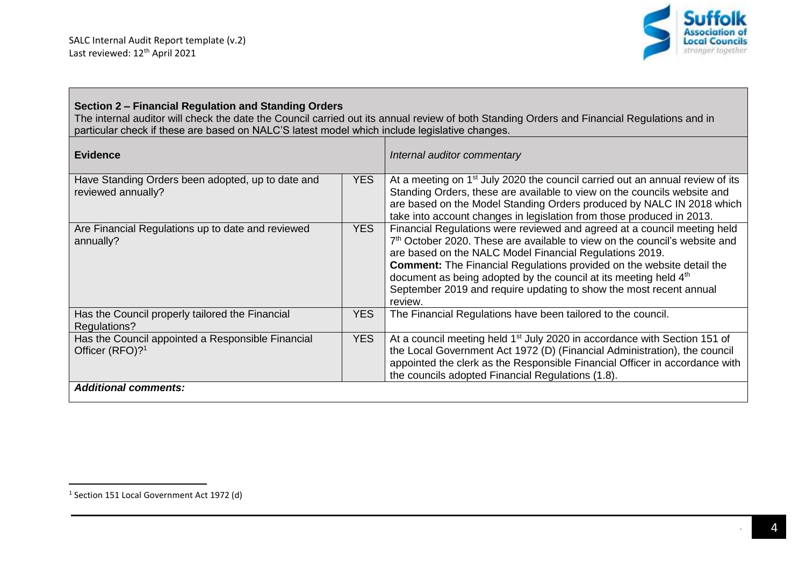

## **Section 2 – Financial Regulation and Standing Orders**

The internal auditor will check the date the Council carried out its annual review of both Standing Orders and Financial Regulations and in particular check if these are based on NALC'S latest model which include legislative changes.

| <b>Evidence</b>                                                                  |            | Internal auditor commentary                                                                                                                                                                                                                                                                                                                                                                                                                                                    |
|----------------------------------------------------------------------------------|------------|--------------------------------------------------------------------------------------------------------------------------------------------------------------------------------------------------------------------------------------------------------------------------------------------------------------------------------------------------------------------------------------------------------------------------------------------------------------------------------|
| Have Standing Orders been adopted, up to date and<br>reviewed annually?          | <b>YES</b> | At a meeting on 1 <sup>st</sup> July 2020 the council carried out an annual review of its<br>Standing Orders, these are available to view on the councils website and<br>are based on the Model Standing Orders produced by NALC IN 2018 which<br>take into account changes in legislation from those produced in 2013.                                                                                                                                                        |
| Are Financial Regulations up to date and reviewed<br>annually?                   | <b>YES</b> | Financial Regulations were reviewed and agreed at a council meeting held<br>7 <sup>th</sup> October 2020. These are available to view on the council's website and<br>are based on the NALC Model Financial Regulations 2019.<br><b>Comment:</b> The Financial Regulations provided on the website detail the<br>document as being adopted by the council at its meeting held 4 <sup>th</sup><br>September 2019 and require updating to show the most recent annual<br>review. |
| Has the Council properly tailored the Financial<br>Regulations?                  | <b>YES</b> | The Financial Regulations have been tailored to the council.                                                                                                                                                                                                                                                                                                                                                                                                                   |
| Has the Council appointed a Responsible Financial<br>Officer (RFO)? <sup>1</sup> | <b>YES</b> | At a council meeting held 1 <sup>st</sup> July 2020 in accordance with Section 151 of<br>the Local Government Act 1972 (D) (Financial Administration), the council<br>appointed the clerk as the Responsible Financial Officer in accordance with<br>the councils adopted Financial Regulations (1.8).                                                                                                                                                                         |
| <b>Additional comments:</b>                                                      |            |                                                                                                                                                                                                                                                                                                                                                                                                                                                                                |

<sup>&</sup>lt;sup>1</sup> Section 151 Local Government Act 1972 (d)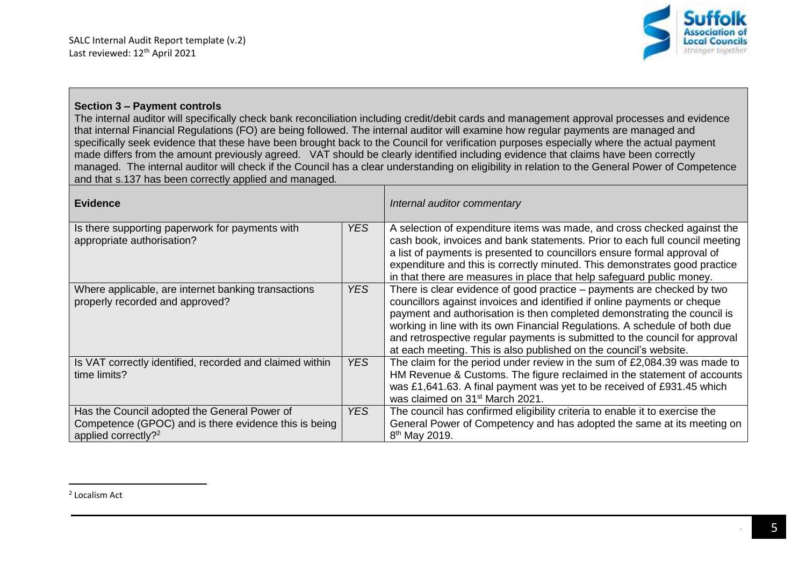

#### **Section 3 – Payment controls**

The internal auditor will specifically check bank reconciliation including credit/debit cards and management approval processes and evidence that internal Financial Regulations (FO) are being followed. The internal auditor will examine how regular payments are managed and specifically seek evidence that these have been brought back to the Council for verification purposes especially where the actual payment made differs from the amount previously agreed. VAT should be clearly identified including evidence that claims have been correctly managed. The internal auditor will check if the Council has a clear understanding on eligibility in relation to the General Power of Competence and that s.137 has been correctly applied and managed*.*

| <b>Evidence</b>                                                                                                                          |                 | Internal auditor commentary                                                                                                                                                                                                                                                                                                                                                                                                                                      |
|------------------------------------------------------------------------------------------------------------------------------------------|-----------------|------------------------------------------------------------------------------------------------------------------------------------------------------------------------------------------------------------------------------------------------------------------------------------------------------------------------------------------------------------------------------------------------------------------------------------------------------------------|
| Is there supporting paperwork for payments with<br>appropriate authorisation?                                                            | YES.            | A selection of expenditure items was made, and cross checked against the<br>cash book, invoices and bank statements. Prior to each full council meeting<br>a list of payments is presented to councillors ensure formal approval of<br>expenditure and this is correctly minuted. This demonstrates good practice<br>in that there are measures in place that help safeguard public money.                                                                       |
| Where applicable, are internet banking transactions<br>properly recorded and approved?                                                   | YES.            | There is clear evidence of good practice – payments are checked by two<br>councillors against invoices and identified if online payments or cheque<br>payment and authorisation is then completed demonstrating the council is<br>working in line with its own Financial Regulations. A schedule of both due<br>and retrospective regular payments is submitted to the council for approval<br>at each meeting. This is also published on the council's website. |
| Is VAT correctly identified, recorded and claimed within<br>time limits?                                                                 | <b>YES</b>      | The claim for the period under review in the sum of £2,084.39 was made to<br>HM Revenue & Customs. The figure reclaimed in the statement of accounts<br>was £1,641.63. A final payment was yet to be received of £931.45 which<br>was claimed on 31 <sup>st</sup> March 2021.                                                                                                                                                                                    |
| Has the Council adopted the General Power of<br>Competence (GPOC) and is there evidence this is being<br>applied correctly? <sup>2</sup> | YES <sup></sup> | The council has confirmed eligibility criteria to enable it to exercise the<br>General Power of Competency and has adopted the same at its meeting on<br>8 <sup>th</sup> May 2019.                                                                                                                                                                                                                                                                               |

<sup>2</sup> Localism Act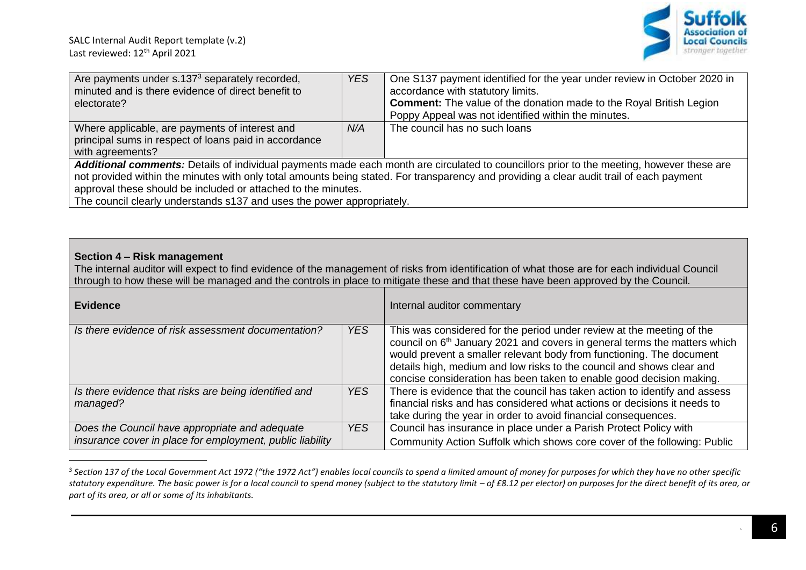

| Are payments under s.137 <sup>3</sup> separately recorded,                                                                                | <b>YES</b> | One S137 payment identified for the year under review in October 2020 in   |  |
|-------------------------------------------------------------------------------------------------------------------------------------------|------------|----------------------------------------------------------------------------|--|
| minuted and is there evidence of direct benefit to                                                                                        |            |                                                                            |  |
|                                                                                                                                           |            | accordance with statutory limits.                                          |  |
| electorate?                                                                                                                               |            | <b>Comment:</b> The value of the donation made to the Royal British Legion |  |
|                                                                                                                                           |            | Poppy Appeal was not identified within the minutes.                        |  |
| Where applicable, are payments of interest and                                                                                            | N/A        | The council has no such loans                                              |  |
| principal sums in respect of loans paid in accordance                                                                                     |            |                                                                            |  |
| with agreements?                                                                                                                          |            |                                                                            |  |
|                                                                                                                                           |            |                                                                            |  |
| Additional comments: Details of individual payments made each month are circulated to councillors prior to the meeting, however these are |            |                                                                            |  |
| not provided within the minutes with only total amounts being stated. For transparency and providing a clear audit trail of each payment  |            |                                                                            |  |
| approval these should be included or attached to the minutes.                                                                             |            |                                                                            |  |
| The council clearly understands s137 and uses the power appropriately.                                                                    |            |                                                                            |  |

#### **Section 4 – Risk management**

 $\overline{\phantom{a}}$ 

The internal auditor will expect to find evidence of the management of risks from identification of what those are for each individual Council through to how these will be managed and the controls in place to mitigate these and that these have been approved by the Council.

| <b>Evidence</b>                                                                                             |            | Internal auditor commentary                                                                                                                                                                                                                                                                                                                                                             |
|-------------------------------------------------------------------------------------------------------------|------------|-----------------------------------------------------------------------------------------------------------------------------------------------------------------------------------------------------------------------------------------------------------------------------------------------------------------------------------------------------------------------------------------|
| Is there evidence of risk assessment documentation?                                                         | YES        | This was considered for the period under review at the meeting of the<br>council on 6 <sup>th</sup> January 2021 and covers in general terms the matters which<br>would prevent a smaller relevant body from functioning. The document<br>details high, medium and low risks to the council and shows clear and<br>concise consideration has been taken to enable good decision making. |
| Is there evidence that risks are being identified and<br>managed?                                           | <b>YES</b> | There is evidence that the council has taken action to identify and assess<br>financial risks and has considered what actions or decisions it needs to<br>take during the year in order to avoid financial consequences.                                                                                                                                                                |
| Does the Council have appropriate and adequate<br>insurance cover in place for employment, public liability | <b>YES</b> | Council has insurance in place under a Parish Protect Policy with<br>Community Action Suffolk which shows core cover of the following: Public                                                                                                                                                                                                                                           |

<sup>3</sup> *Section 137 of the Local Government Act 1972 ("the 1972 Act") enables local councils to spend a limited amount of money for purposes for which they have no other specific*  statutory expenditure. The basic power is for a local council to spend money (subject to the statutory limit – of £8.12 per elector) on purposes for the direct benefit of its area, or *part of its area, or all or some of its inhabitants.*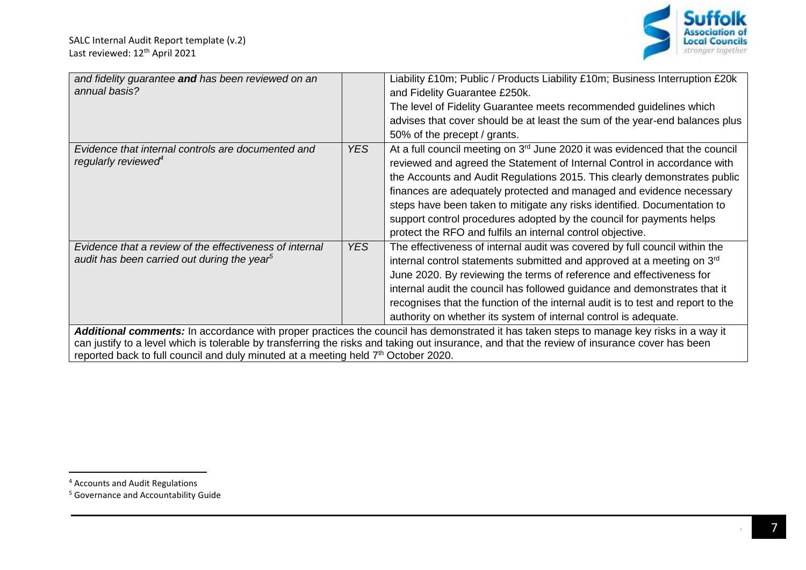

| and fidelity guarantee and has been reviewed on an<br>annual basis?                                                                                                                                                                                                                                                                                                             |            | Liability £10m; Public / Products Liability £10m; Business Interruption £20k<br>and Fidelity Guarantee £250k.<br>The level of Fidelity Guarantee meets recommended guidelines which<br>advises that cover should be at least the sum of the year-end balances plus<br>50% of the precept / grants.                                                                                                                                                                                                                                |  |
|---------------------------------------------------------------------------------------------------------------------------------------------------------------------------------------------------------------------------------------------------------------------------------------------------------------------------------------------------------------------------------|------------|-----------------------------------------------------------------------------------------------------------------------------------------------------------------------------------------------------------------------------------------------------------------------------------------------------------------------------------------------------------------------------------------------------------------------------------------------------------------------------------------------------------------------------------|--|
| Evidence that internal controls are documented and<br>regularly reviewed <sup>4</sup>                                                                                                                                                                                                                                                                                           | <b>YES</b> | At a full council meeting on $3rd$ June 2020 it was evidenced that the council<br>reviewed and agreed the Statement of Internal Control in accordance with<br>the Accounts and Audit Regulations 2015. This clearly demonstrates public<br>finances are adequately protected and managed and evidence necessary<br>steps have been taken to mitigate any risks identified. Documentation to<br>support control procedures adopted by the council for payments helps<br>protect the RFO and fulfils an internal control objective. |  |
| Evidence that a review of the effectiveness of internal<br>audit has been carried out during the year <sup>5</sup>                                                                                                                                                                                                                                                              | <b>YES</b> | The effectiveness of internal audit was covered by full council within the<br>internal control statements submitted and approved at a meeting on 3 <sup>rd</sup><br>June 2020. By reviewing the terms of reference and effectiveness for<br>internal audit the council has followed guidance and demonstrates that it<br>recognises that the function of the internal audit is to test and report to the<br>authority on whether its system of internal control is adequate.                                                      |  |
| Additional comments: In accordance with proper practices the council has demonstrated it has taken steps to manage key risks in a way it<br>can justify to a level which is tolerable by transferring the risks and taking out insurance, and that the review of insurance cover has been<br>reported back to full council and duly minuted at a meeting held 7th October 2020. |            |                                                                                                                                                                                                                                                                                                                                                                                                                                                                                                                                   |  |

 $\overline{a}$ 

<sup>&</sup>lt;sup>4</sup> Accounts and Audit Regulations

<sup>5</sup> Governance and Accountability Guide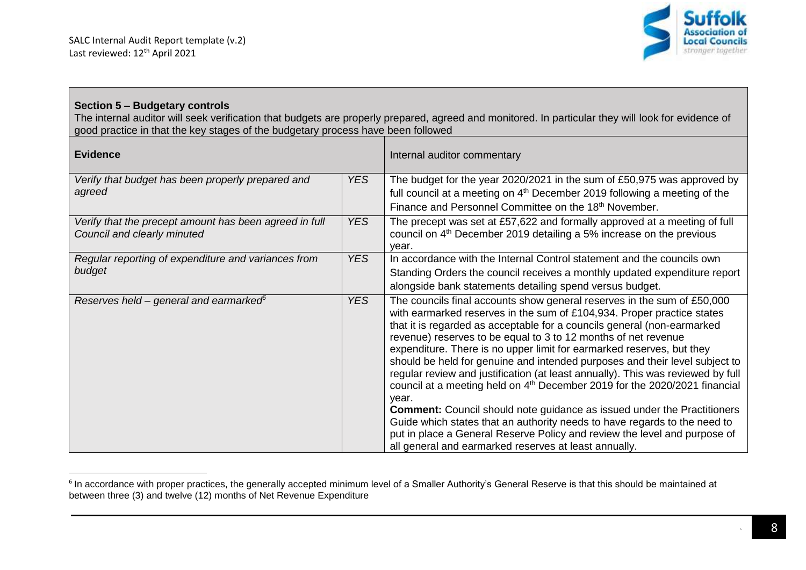

## **Section 5 – Budgetary controls**

 $\overline{a}$ 

The internal auditor will seek verification that budgets are properly prepared, agreed and monitored. In particular they will look for evidence of good practice in that the key stages of the budgetary process have been followed

| <b>Evidence</b>                                                                       |            | Internal auditor commentary                                                                                                                                                                                                                                                                                                                                                                                                                                                                                                                                                                                                                                                                                                                                                                                                                                                                                                                       |
|---------------------------------------------------------------------------------------|------------|---------------------------------------------------------------------------------------------------------------------------------------------------------------------------------------------------------------------------------------------------------------------------------------------------------------------------------------------------------------------------------------------------------------------------------------------------------------------------------------------------------------------------------------------------------------------------------------------------------------------------------------------------------------------------------------------------------------------------------------------------------------------------------------------------------------------------------------------------------------------------------------------------------------------------------------------------|
| Verify that budget has been properly prepared and<br>agreed                           | <b>YES</b> | The budget for the year 2020/2021 in the sum of £50,975 was approved by<br>full council at a meeting on 4 <sup>th</sup> December 2019 following a meeting of the<br>Finance and Personnel Committee on the 18 <sup>th</sup> November.                                                                                                                                                                                                                                                                                                                                                                                                                                                                                                                                                                                                                                                                                                             |
| Verify that the precept amount has been agreed in full<br>Council and clearly minuted | <b>YES</b> | The precept was set at £57,622 and formally approved at a meeting of full<br>council on 4 <sup>th</sup> December 2019 detailing a 5% increase on the previous<br>vear.                                                                                                                                                                                                                                                                                                                                                                                                                                                                                                                                                                                                                                                                                                                                                                            |
| Regular reporting of expenditure and variances from<br>budget                         | <b>YES</b> | In accordance with the Internal Control statement and the councils own<br>Standing Orders the council receives a monthly updated expenditure report<br>alongside bank statements detailing spend versus budget.                                                                                                                                                                                                                                                                                                                                                                                                                                                                                                                                                                                                                                                                                                                                   |
| Reserves held – general and earmarked $6$                                             | <b>YES</b> | The councils final accounts show general reserves in the sum of £50,000<br>with earmarked reserves in the sum of £104,934. Proper practice states<br>that it is regarded as acceptable for a councils general (non-earmarked<br>revenue) reserves to be equal to 3 to 12 months of net revenue<br>expenditure. There is no upper limit for earmarked reserves, but they<br>should be held for genuine and intended purposes and their level subject to<br>regular review and justification (at least annually). This was reviewed by full<br>council at a meeting held on 4 <sup>th</sup> December 2019 for the 2020/2021 financial<br>year.<br><b>Comment:</b> Council should note guidance as issued under the Practitioners<br>Guide which states that an authority needs to have regards to the need to<br>put in place a General Reserve Policy and review the level and purpose of<br>all general and earmarked reserves at least annually. |

 $^{\rm 6}$  In accordance with proper practices, the generally accepted minimum level of a Smaller Authority's General Reserve is that this should be maintained at between three (3) and twelve (12) months of Net Revenue Expenditure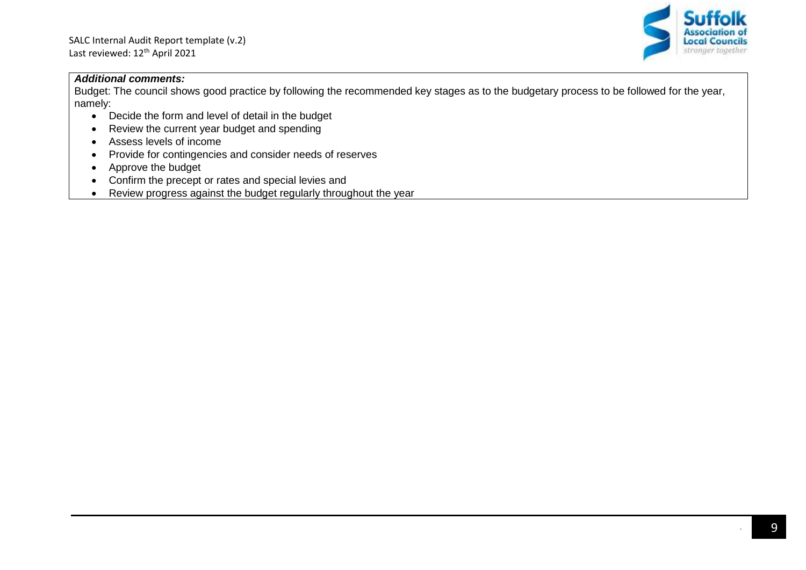

#### *Additional comments:*

Budget: The council shows good practice by following the recommended key stages as to the budgetary process to be followed for the year, namely:

- Decide the form and level of detail in the budget
- Review the current year budget and spending
- Assess levels of income
- Provide for contingencies and consider needs of reserves
- Approve the budget
- Confirm the precept or rates and special levies and
- Review progress against the budget regularly throughout the year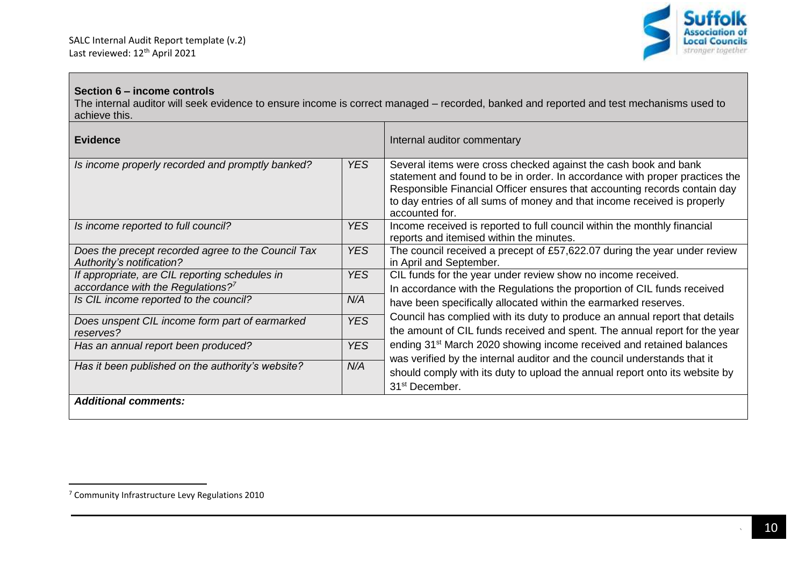

## **Section 6 – income controls**

The internal auditor will seek evidence to ensure income is correct managed – recorded, banked and reported and test mechanisms used to achieve this.

| <b>Evidence</b>                                                                          |                                                                                                                                                 | Internal auditor commentary                                                                                                                                                                                                                                                                                               |  |
|------------------------------------------------------------------------------------------|-------------------------------------------------------------------------------------------------------------------------------------------------|---------------------------------------------------------------------------------------------------------------------------------------------------------------------------------------------------------------------------------------------------------------------------------------------------------------------------|--|
| Is income properly recorded and promptly banked?                                         | <b>YES</b>                                                                                                                                      | Several items were cross checked against the cash book and bank<br>statement and found to be in order. In accordance with proper practices the<br>Responsible Financial Officer ensures that accounting records contain day<br>to day entries of all sums of money and that income received is properly<br>accounted for. |  |
| Is income reported to full council?                                                      | <b>YES</b>                                                                                                                                      | Income received is reported to full council within the monthly financial<br>reports and itemised within the minutes.                                                                                                                                                                                                      |  |
| Does the precept recorded agree to the Council Tax<br>Authority's notification?          | <b>YES</b>                                                                                                                                      | The council received a precept of £57,622.07 during the year under review<br>in April and September.                                                                                                                                                                                                                      |  |
| If appropriate, are CIL reporting schedules in<br>accordance with the Regulations? $7^7$ | YES.<br>CIL funds for the year under review show no income received.<br>In accordance with the Regulations the proportion of CIL funds received |                                                                                                                                                                                                                                                                                                                           |  |
| Is CIL income reported to the council?                                                   | N/A                                                                                                                                             | have been specifically allocated within the earmarked reserves.                                                                                                                                                                                                                                                           |  |
| Does unspent CIL income form part of earmarked<br>reserves?                              | <b>YES</b>                                                                                                                                      | Council has complied with its duty to produce an annual report that details<br>the amount of CIL funds received and spent. The annual report for the year                                                                                                                                                                 |  |
| Has an annual report been produced?                                                      | <b>YES</b>                                                                                                                                      | ending 31 <sup>st</sup> March 2020 showing income received and retained balances<br>was verified by the internal auditor and the council understands that it                                                                                                                                                              |  |
| Has it been published on the authority's website?                                        | N/A                                                                                                                                             | should comply with its duty to upload the annual report onto its website by<br>31 <sup>st</sup> December.                                                                                                                                                                                                                 |  |
| <b>Additional comments:</b>                                                              |                                                                                                                                                 |                                                                                                                                                                                                                                                                                                                           |  |

<sup>7</sup> Community Infrastructure Levy Regulations 2010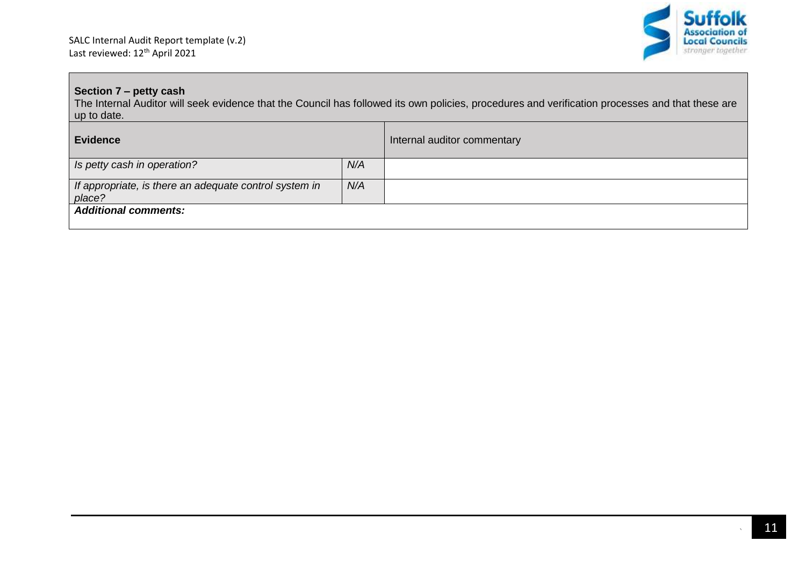

## **Section 7 – petty cash**

The Internal Auditor will seek evidence that the Council has followed its own policies, procedures and verification processes and that these are up to date.

| <b>Evidence</b>                                                  |     | Internal auditor commentary |
|------------------------------------------------------------------|-----|-----------------------------|
| Is petty cash in operation?                                      | N/A |                             |
| If appropriate, is there an adequate control system in<br>place? | N/A |                             |
| <b>Additional comments:</b>                                      |     |                             |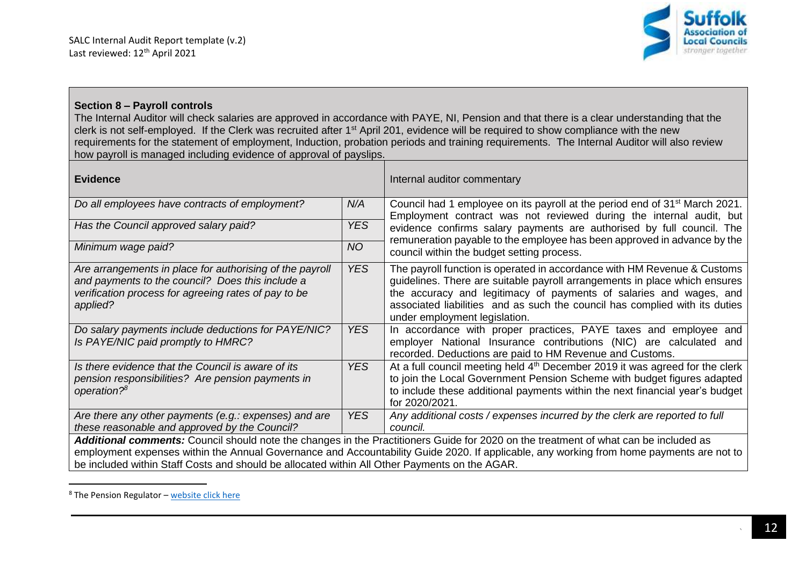

#### **Section 8 – Payroll controls**

The Internal Auditor will check salaries are approved in accordance with PAYE, NI, Pension and that there is a clear understanding that the clerk is not self-employed. If the Clerk was recruited after 1st April 201, evidence will be required to show compliance with the new requirements for the statement of employment, Induction, probation periods and training requirements. The Internal Auditor will also review how payroll is managed including evidence of approval of payslips.

| <b>Evidence</b>                                                                                                                                                                                                                                                                                                                                                                   |            | Internal auditor commentary                                                                                                                                                                                                                                                                                                                  |
|-----------------------------------------------------------------------------------------------------------------------------------------------------------------------------------------------------------------------------------------------------------------------------------------------------------------------------------------------------------------------------------|------------|----------------------------------------------------------------------------------------------------------------------------------------------------------------------------------------------------------------------------------------------------------------------------------------------------------------------------------------------|
| Do all employees have contracts of employment?                                                                                                                                                                                                                                                                                                                                    | N/A        | Council had 1 employee on its payroll at the period end of 31 <sup>st</sup> March 2021.<br>Employment contract was not reviewed during the internal audit, but                                                                                                                                                                               |
| <b>YES</b><br>Has the Council approved salary paid?                                                                                                                                                                                                                                                                                                                               |            | evidence confirms salary payments are authorised by full council. The                                                                                                                                                                                                                                                                        |
| Minimum wage paid?                                                                                                                                                                                                                                                                                                                                                                | <b>NO</b>  | remuneration payable to the employee has been approved in advance by the<br>council within the budget setting process.                                                                                                                                                                                                                       |
| Are arrangements in place for authorising of the payroll<br>and payments to the council? Does this include a<br>verification process for agreeing rates of pay to be<br>applied?                                                                                                                                                                                                  | YES.       | The payroll function is operated in accordance with HM Revenue & Customs<br>guidelines. There are suitable payroll arrangements in place which ensures<br>the accuracy and legitimacy of payments of salaries and wages, and<br>associated liabilities and as such the council has complied with its duties<br>under employment legislation. |
| Do salary payments include deductions for PAYE/NIC?<br>Is PAYE/NIC paid promptly to HMRC?                                                                                                                                                                                                                                                                                         | <b>YES</b> | In accordance with proper practices, PAYE taxes and employee and<br>employer National Insurance contributions (NIC) are calculated and<br>recorded. Deductions are paid to HM Revenue and Customs.                                                                                                                                           |
| Is there evidence that the Council is aware of its<br>pension responsibilities? Are pension payments in<br>operation? <sup>8</sup>                                                                                                                                                                                                                                                | <b>YES</b> | At a full council meeting held 4 <sup>th</sup> December 2019 it was agreed for the clerk<br>to join the Local Government Pension Scheme with budget figures adapted<br>to include these additional payments within the next financial year's budget<br>for 2020/2021.                                                                        |
| <b>YES</b><br>Are there any other payments (e.g.: expenses) and are<br>these reasonable and approved by the Council?                                                                                                                                                                                                                                                              |            | Any additional costs / expenses incurred by the clerk are reported to full<br>council.                                                                                                                                                                                                                                                       |
| Additional comments: Council should note the changes in the Practitioners Guide for 2020 on the treatment of what can be included as<br>employment expenses within the Annual Governance and Accountability Guide 2020. If applicable, any working from home payments are not to<br>be included within Staff Costs and should be allocated within All Other Payments on the AGAR. |            |                                                                                                                                                                                                                                                                                                                                              |

 $8$  The Pension Regulator – [website click here](https://www.thepensionsregulator.gov.uk/en/employers)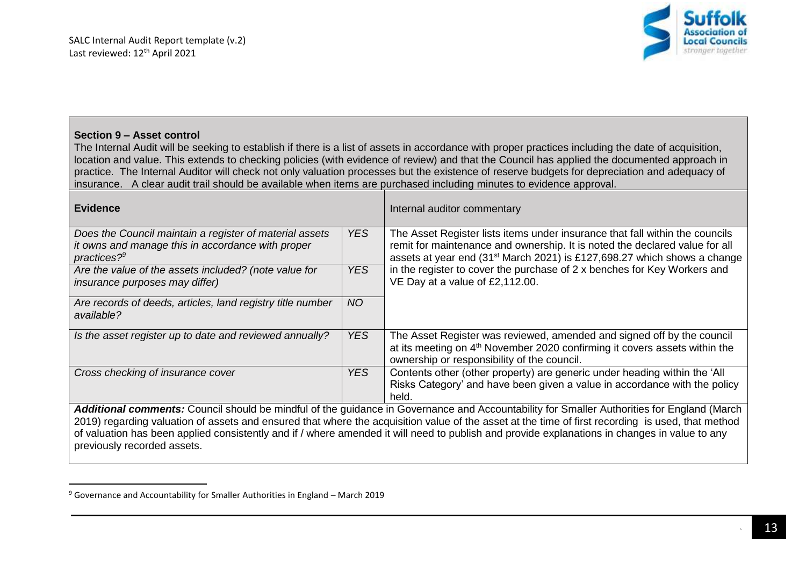

#### **Section 9 – Asset control**

 $\overline{\phantom{a}}$ 

The Internal Audit will be seeking to establish if there is a list of assets in accordance with proper practices including the date of acquisition, location and value. This extends to checking policies (with evidence of review) and that the Council has applied the documented approach in practice. The Internal Auditor will check not only valuation processes but the existence of reserve budgets for depreciation and adequacy of insurance. A clear audit trail should be available when items are purchased including minutes to evidence approval.

| <b>Evidence</b>                                                                                                                                                                                                                                                                                                                   |           | Internal auditor commentary                                                                                                                                                                                                                         |
|-----------------------------------------------------------------------------------------------------------------------------------------------------------------------------------------------------------------------------------------------------------------------------------------------------------------------------------|-----------|-----------------------------------------------------------------------------------------------------------------------------------------------------------------------------------------------------------------------------------------------------|
| Does the Council maintain a register of material assets<br>it owns and manage this in accordance with proper<br>practices? $9^9$                                                                                                                                                                                                  | YES.      | The Asset Register lists items under insurance that fall within the councils<br>remit for maintenance and ownership. It is noted the declared value for all<br>assets at year end (31 <sup>st</sup> March 2021) is £127,698.27 which shows a change |
| YES.<br>Are the value of the assets included? (note value for<br><i>insurance purposes may differ)</i>                                                                                                                                                                                                                            |           | in the register to cover the purchase of 2 x benches for Key Workers and<br>VE Day at a value of £2,112.00.                                                                                                                                         |
| Are records of deeds, articles, land registry title number<br>available?                                                                                                                                                                                                                                                          | <b>NO</b> |                                                                                                                                                                                                                                                     |
| Is the asset register up to date and reviewed annually?                                                                                                                                                                                                                                                                           | YES.      | The Asset Register was reviewed, amended and signed off by the council<br>at its meeting on 4 <sup>th</sup> November 2020 confirming it covers assets within the<br>ownership or responsibility of the council.                                     |
| Cross checking of insurance cover                                                                                                                                                                                                                                                                                                 | YES.      | Contents other (other property) are generic under heading within the 'All<br>Risks Category' and have been given a value in accordance with the policy<br>held.                                                                                     |
|                                                                                                                                                                                                                                                                                                                                   |           | Additional comments: Council should be mindful of the guidance in Governance and Accountability for Smaller Authorities for England (March                                                                                                          |
| 2019) regarding valuation of assets and ensured that where the acquisition value of the asset at the time of first recording is used, that method<br>of valuation has been applied consistently and if / where amended it will need to publish and provide explanations in changes in value to any<br>previously recorded assets. |           |                                                                                                                                                                                                                                                     |

 $9$  Governance and Accountability for Smaller Authorities in England – March 2019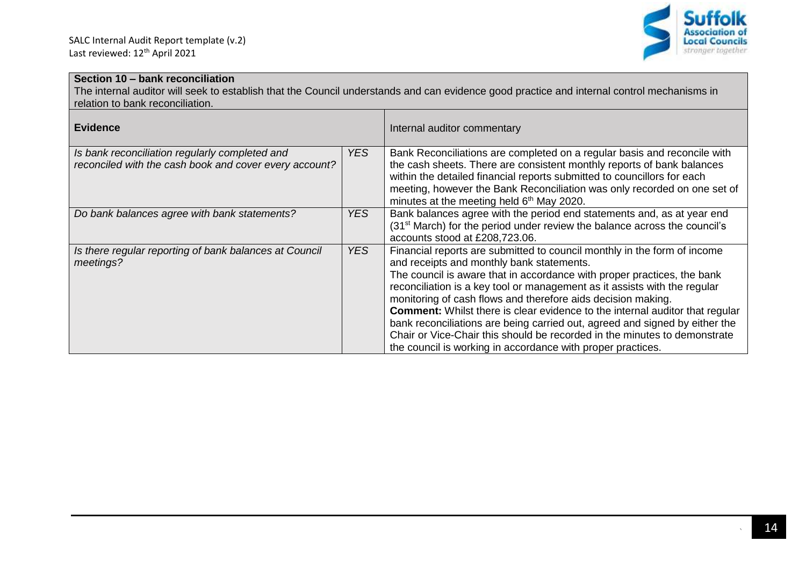

## **Section 10 – bank reconciliation**

The internal auditor will seek to establish that the Council understands and can evidence good practice and internal control mechanisms in relation to bank reconciliation.

| <b>Evidence</b>                                                                                          |            | Internal auditor commentary                                                                                                                                                                                                                                                                                                                                                                                                                                                                                                                                                                                                                                     |
|----------------------------------------------------------------------------------------------------------|------------|-----------------------------------------------------------------------------------------------------------------------------------------------------------------------------------------------------------------------------------------------------------------------------------------------------------------------------------------------------------------------------------------------------------------------------------------------------------------------------------------------------------------------------------------------------------------------------------------------------------------------------------------------------------------|
| Is bank reconciliation regularly completed and<br>reconciled with the cash book and cover every account? | YES.       | Bank Reconciliations are completed on a regular basis and reconcile with<br>the cash sheets. There are consistent monthly reports of bank balances<br>within the detailed financial reports submitted to councillors for each<br>meeting, however the Bank Reconciliation was only recorded on one set of<br>minutes at the meeting held 6 <sup>th</sup> May 2020.                                                                                                                                                                                                                                                                                              |
| Do bank balances agree with bank statements?                                                             | YES.       | Bank balances agree with the period end statements and, as at year end<br>(31 <sup>st</sup> March) for the period under review the balance across the council's<br>accounts stood at £208,723.06.                                                                                                                                                                                                                                                                                                                                                                                                                                                               |
| Is there regular reporting of bank balances at Council<br>meetings?                                      | <b>YES</b> | Financial reports are submitted to council monthly in the form of income<br>and receipts and monthly bank statements.<br>The council is aware that in accordance with proper practices, the bank<br>reconciliation is a key tool or management as it assists with the regular<br>monitoring of cash flows and therefore aids decision making.<br><b>Comment:</b> Whilst there is clear evidence to the internal auditor that regular<br>bank reconciliations are being carried out, agreed and signed by either the<br>Chair or Vice-Chair this should be recorded in the minutes to demonstrate<br>the council is working in accordance with proper practices. |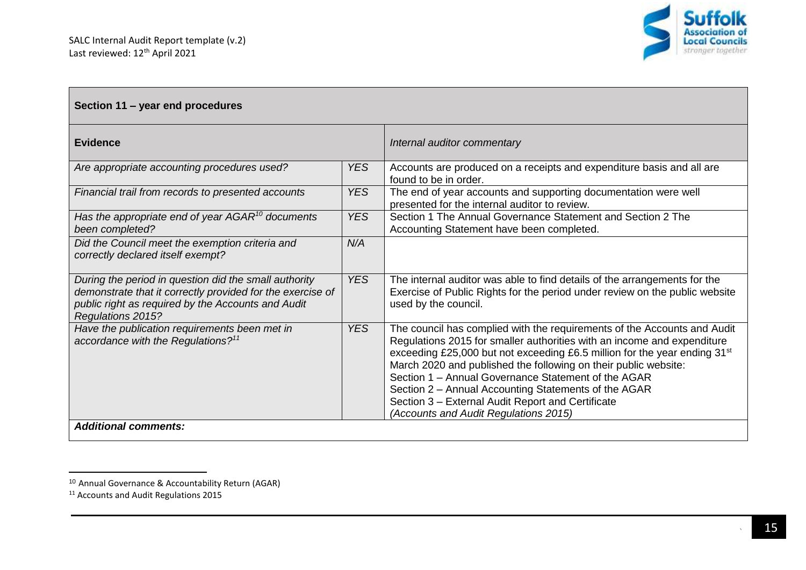

| Section 11 - year end procedures                                                                                                                                                               |            |                                                                                                                                                                                                                                                                                                                                                                                                                                                                                                                              |
|------------------------------------------------------------------------------------------------------------------------------------------------------------------------------------------------|------------|------------------------------------------------------------------------------------------------------------------------------------------------------------------------------------------------------------------------------------------------------------------------------------------------------------------------------------------------------------------------------------------------------------------------------------------------------------------------------------------------------------------------------|
| <b>Evidence</b>                                                                                                                                                                                |            | Internal auditor commentary                                                                                                                                                                                                                                                                                                                                                                                                                                                                                                  |
| Are appropriate accounting procedures used?                                                                                                                                                    | <b>YES</b> | Accounts are produced on a receipts and expenditure basis and all are<br>found to be in order.                                                                                                                                                                                                                                                                                                                                                                                                                               |
| Financial trail from records to presented accounts                                                                                                                                             | <b>YES</b> | The end of year accounts and supporting documentation were well<br>presented for the internal auditor to review.                                                                                                                                                                                                                                                                                                                                                                                                             |
| Has the appropriate end of year $AGAR^{10}$ documents<br>been completed?                                                                                                                       | <b>YES</b> | Section 1 The Annual Governance Statement and Section 2 The<br>Accounting Statement have been completed.                                                                                                                                                                                                                                                                                                                                                                                                                     |
| Did the Council meet the exemption criteria and<br>correctly declared itself exempt?                                                                                                           | N/A        |                                                                                                                                                                                                                                                                                                                                                                                                                                                                                                                              |
| During the period in question did the small authority<br>demonstrate that it correctly provided for the exercise of<br>public right as required by the Accounts and Audit<br>Regulations 2015? | <b>YES</b> | The internal auditor was able to find details of the arrangements for the<br>Exercise of Public Rights for the period under review on the public website<br>used by the council.                                                                                                                                                                                                                                                                                                                                             |
| Have the publication requirements been met in<br>accordance with the Regulations? <sup>11</sup>                                                                                                | <b>YES</b> | The council has complied with the requirements of the Accounts and Audit<br>Regulations 2015 for smaller authorities with an income and expenditure<br>exceeding £25,000 but not exceeding £6.5 million for the year ending 31 <sup>st</sup><br>March 2020 and published the following on their public website:<br>Section 1 - Annual Governance Statement of the AGAR<br>Section 2 – Annual Accounting Statements of the AGAR<br>Section 3 - External Audit Report and Certificate<br>(Accounts and Audit Regulations 2015) |
| <b>Additional comments:</b>                                                                                                                                                                    |            |                                                                                                                                                                                                                                                                                                                                                                                                                                                                                                                              |

 $\overline{a}$ 

<sup>&</sup>lt;sup>10</sup> Annual Governance & Accountability Return (AGAR)

<sup>&</sup>lt;sup>11</sup> Accounts and Audit Regulations 2015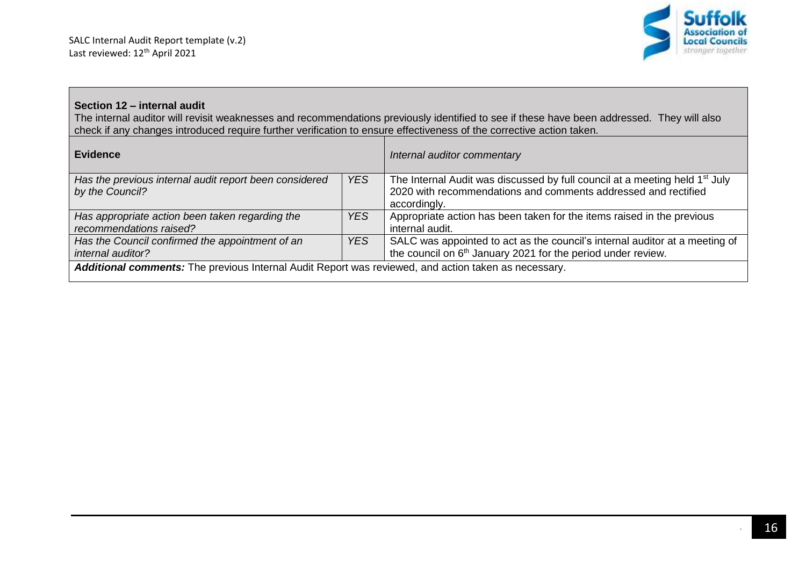

#### **Section 12 – internal audit**

The internal auditor will revisit weaknesses and recommendations previously identified to see if these have been addressed. They will also check if any changes introduced require further verification to ensure effectiveness of the corrective action taken.

| <b>Evidence</b>                                                                                      |            | Internal auditor commentary                                                             |
|------------------------------------------------------------------------------------------------------|------------|-----------------------------------------------------------------------------------------|
| Has the previous internal audit report been considered                                               | <b>YES</b> | The Internal Audit was discussed by full council at a meeting held 1 <sup>st</sup> July |
| by the Council?                                                                                      |            | 2020 with recommendations and comments addressed and rectified                          |
|                                                                                                      |            | accordingly.                                                                            |
| Has appropriate action been taken regarding the                                                      | <b>YES</b> | Appropriate action has been taken for the items raised in the previous                  |
| recommendations raised?                                                                              |            | internal audit.                                                                         |
| Has the Council confirmed the appointment of an                                                      | <b>YES</b> | SALC was appointed to act as the council's internal auditor at a meeting of             |
| internal auditor?                                                                                    |            | the council on 6 <sup>th</sup> January 2021 for the period under review.                |
| Additional comments: The previous Internal Audit Report was reviewed, and action taken as necessary. |            |                                                                                         |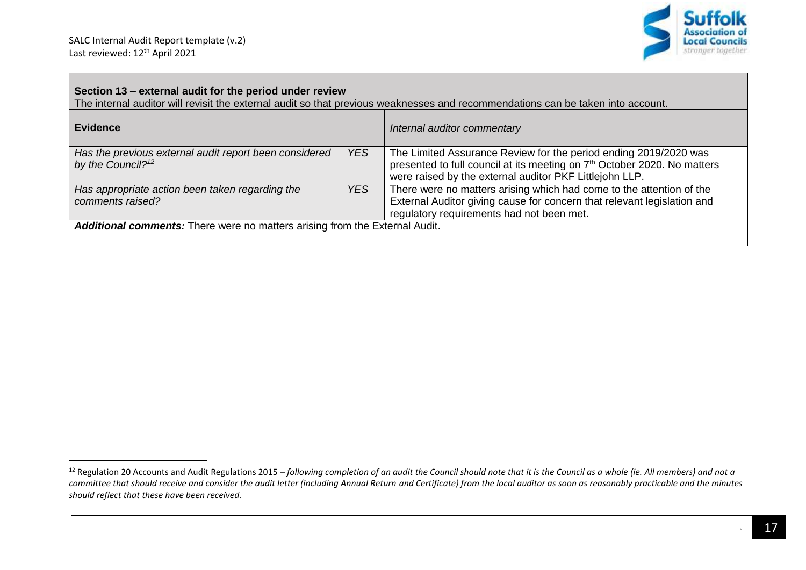$\overline{\phantom{a}}$ 

 $\Box$ 



| Section 13 – external audit for the period under review<br>The internal auditor will revisit the external audit so that previous weaknesses and recommendations can be taken into account. |            |                                                                                                                                                                                                                     |  |
|--------------------------------------------------------------------------------------------------------------------------------------------------------------------------------------------|------------|---------------------------------------------------------------------------------------------------------------------------------------------------------------------------------------------------------------------|--|
| <b>Evidence</b>                                                                                                                                                                            |            | Internal auditor commentary                                                                                                                                                                                         |  |
| Has the previous external audit report been considered<br>by the Council? <sup>12</sup>                                                                                                    | <b>YES</b> | The Limited Assurance Review for the period ending 2019/2020 was<br>presented to full council at its meeting on 7 <sup>th</sup> October 2020. No matters<br>were raised by the external auditor PKF Littlejohn LLP. |  |
| Has appropriate action been taken regarding the<br>comments raised?                                                                                                                        | <b>YES</b> | There were no matters arising which had come to the attention of the<br>External Auditor giving cause for concern that relevant legislation and<br>regulatory requirements had not been met.                        |  |
| Additional comments: There were no matters arising from the External Audit.                                                                                                                |            |                                                                                                                                                                                                                     |  |

<sup>&</sup>lt;sup>12</sup> Regulation 20 Accounts and Audit Regulations 2015 – *following completion of an audit the Council should note that it is the Council as a whole (ie. All members) and not a* committee that should receive and consider the audit letter (including Annual Return and Certificate) from the local auditor as soon as reasonably practicable and the minutes *should reflect that these have been received.*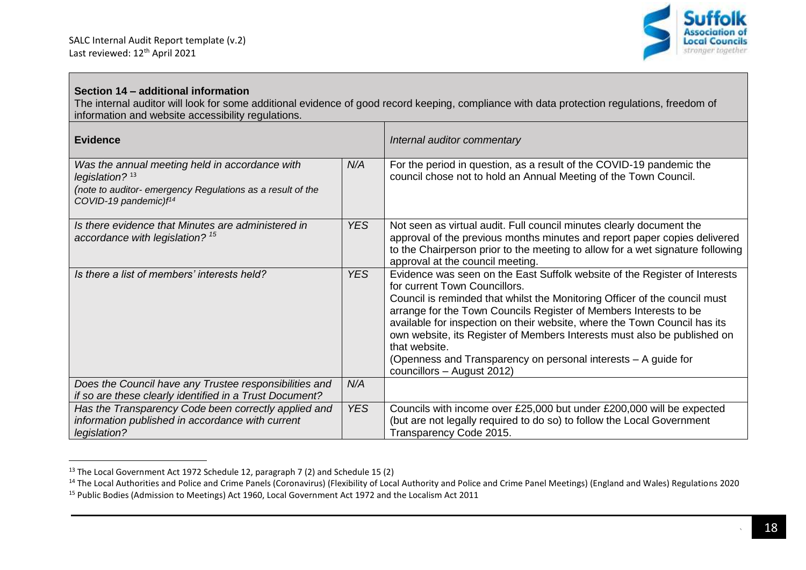

## **Section 14 – additional information**

The internal auditor will look for some additional evidence of good record keeping, compliance with data protection regulations, freedom of information and website accessibility regulations.

| <b>Evidence</b>                                                                                                                                                        |                 | Internal auditor commentary                                                                                                                                                                                                                                                                                                                                                                                                                                                                                                              |
|------------------------------------------------------------------------------------------------------------------------------------------------------------------------|-----------------|------------------------------------------------------------------------------------------------------------------------------------------------------------------------------------------------------------------------------------------------------------------------------------------------------------------------------------------------------------------------------------------------------------------------------------------------------------------------------------------------------------------------------------------|
| Was the annual meeting held in accordance with<br>legislation? $13$<br>(note to auditor- emergency Regulations as a result of the<br>COVID-19 pandemic)f <sup>14</sup> | N/A             | For the period in question, as a result of the COVID-19 pandemic the<br>council chose not to hold an Annual Meeting of the Town Council.                                                                                                                                                                                                                                                                                                                                                                                                 |
| Is there evidence that Minutes are administered in<br>accordance with legislation? <sup>15</sup>                                                                       | <b>YES</b>      | Not seen as virtual audit. Full council minutes clearly document the<br>approval of the previous months minutes and report paper copies delivered<br>to the Chairperson prior to the meeting to allow for a wet signature following<br>approval at the council meeting.                                                                                                                                                                                                                                                                  |
| Is there a list of members' interests held?                                                                                                                            | YES <sup></sup> | Evidence was seen on the East Suffolk website of the Register of Interests<br>for current Town Councillors.<br>Council is reminded that whilst the Monitoring Officer of the council must<br>arrange for the Town Councils Register of Members Interests to be<br>available for inspection on their website, where the Town Council has its<br>own website, its Register of Members Interests must also be published on<br>that website.<br>(Openness and Transparency on personal interests - A guide for<br>councillors - August 2012) |
| Does the Council have any Trustee responsibilities and<br>if so are these clearly identified in a Trust Document?                                                      | N/A             |                                                                                                                                                                                                                                                                                                                                                                                                                                                                                                                                          |
| Has the Transparency Code been correctly applied and<br>information published in accordance with current<br>legislation?                                               | <b>YES</b>      | Councils with income over £25,000 but under £200,000 will be expected<br>(but are not legally required to do so) to follow the Local Government<br>Transparency Code 2015.                                                                                                                                                                                                                                                                                                                                                               |

 $^{13}$  The Local Government Act 1972 Schedule 12, paragraph 7 (2) and Schedule 15 (2)

<sup>&</sup>lt;sup>14</sup> The Local Authorities and Police and Crime Panels (Coronavirus) (Flexibility of Local Authority and Police and Crime Panel Meetings) (England and Wales) Regulations 2020 <sup>15</sup> Public Bodies (Admission to Meetings) Act 1960, Local Government Act 1972 and the Localism Act 2011